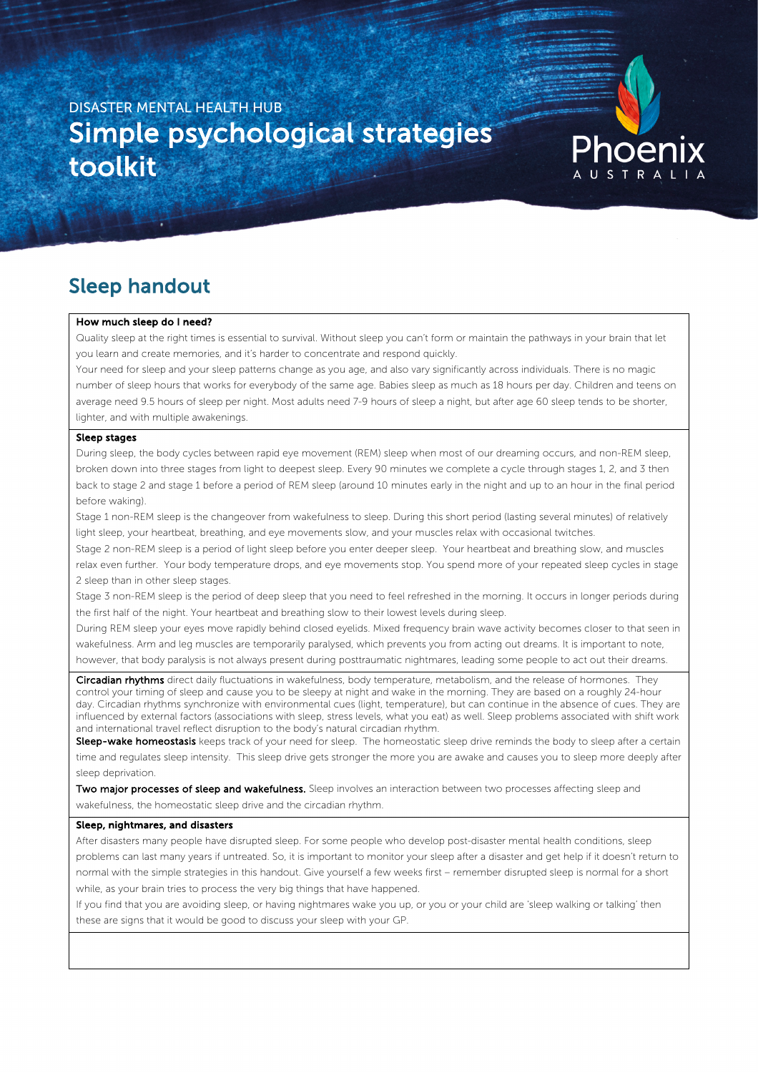# DISASTER MENTAL HEALTH HUB Simple psychological strategies toolkit



## Sleep handout

#### How much sleep do I need?

Quality sleep at the right times is essential to survival. Without sleep you can't form or maintain the pathways in your brain that let you learn and create memories, and it's harder to concentrate and respond quickly.

Your need for sleep and your sleep patterns change as you age, and also vary significantly across individuals. There is no magic number of sleep hours that works for everybody of the same age. Babies sleep as much as 18 hours per day. Children and teens on average need 9.5 hours of sleep per night. Most adults need 7-9 hours of sleep a night, but after age 60 sleep tends to be shorter, lighter, and with multiple awakenings.

## Sleep stages

j.

During sleep, the body cycles between rapid eye movement (REM) sleep when most of our dreaming occurs, and non-REM sleep, broken down into three stages from light to deepest sleep. Every 90 minutes we complete a cycle through stages 1, 2, and 3 then back to stage 2 and stage 1 before a period of REM sleep (around 10 minutes early in the night and up to an hour in the final period before waking).

Stage 1 non-REM sleep is the changeover from wakefulness to sleep. During this short period (lasting several minutes) of relatively light sleep, your heartbeat, breathing, and eye movements slow, and your muscles relax with occasional twitches.

Stage 2 non-REM sleep is a period of light sleep before you enter deeper sleep. Your heartbeat and breathing slow, and muscles relax even further. Your body temperature drops, and eye movements stop. You spend more of your repeated sleep cycles in stage 2 sleep than in other sleep stages.

Stage 3 non-REM sleep is the period of deep sleep that you need to feel refreshed in the morning. It occurs in longer periods during the first half of the night. Your heartbeat and breathing slow to their lowest levels during sleep.

During REM sleep your eyes move rapidly behind closed eyelids. Mixed frequency brain wave activity becomes closer to that seen in wakefulness. Arm and leg muscles are temporarily paralysed, which prevents you from acting out dreams. It is important to note,

however, that body paralysis is not always present during posttraumatic nightmares, leading some people to act out their dreams.

Circadian rhythms direct daily fluctuations in wakefulness, body temperature, metabolism, and the release of hormones. They control your timing of sleep and cause you to be sleepy at night and wake in the morning. They are based on a roughly 24-hour day. Circadian rhythms synchronize with environmental cues (light, temperature), but can continue in the absence of cues. They are influenced by external factors (associations with sleep, stress levels, what you eat) as well. Sleep problems associated with shift work and international travel reflect disruption to the body's natural circadian rhythm.

Sleep-wake homeostasis keeps track of your need for sleep. The homeostatic sleep drive reminds the body to sleep after a certain time and regulates sleep intensity. This sleep drive gets stronger the more you are awake and causes you to sleep more deeply after sleep deprivation.

Two major processes of sleep and wakefulness. Sleep involves an interaction between two processes affecting sleep and wakefulness, the homeostatic sleep drive and the circadian rhythm.

#### Sleep, nightmares, and disasters

After disasters many people have disrupted sleep. For some people who develop post-disaster mental health conditions, sleep problems can last many years if untreated. So, it is important to monitor your sleep after a disaster and get help if it doesn't return to normal with the simple strategies in this handout. Give yourself a few weeks first – remember disrupted sleep is normal for a short while, as your brain tries to process the very big things that have happened.

If you find that you are avoiding sleep, or having nightmares wake you up, or you or your child are 'sleep walking or talking' then these are signs that it would be good to discuss your sleep with your GP.